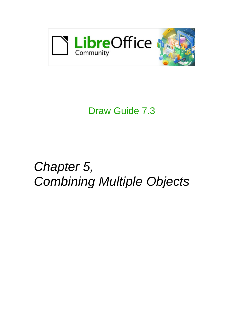

## Draw Guide 7.3

# *Chapter 5, Combining Multiple Objects*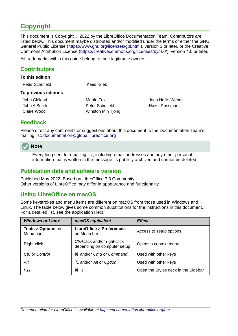## <span id="page-1-4"></span>**Copyright**

This document is Copyright © 2022 by the LibreOffice Documentation Team. Contributors are listed below. This document maybe distributed and/or modified under the terms of either the GNU General Public License (<https://www.gnu.org/licenses/gpl.html>), version 3 or later, or the Creative Commons Attribution License (<https://creativecommons.org/licenses/by/4.0/>), version 4.0 or later.

All trademarks within this guide belong to their legitimate owners.

#### <span id="page-1-3"></span>**Contributors**

#### **To this edition**

| Peter Schofield      | Kees Kriek |
|----------------------|------------|
| To previous editions |            |

John Cleland Martin Fox Jean Hollis Weber

John A Smith **Peter Schofield** Hazel Russman **Hazel Russman** Claire Wood Winston Min Tjong

#### <span id="page-1-2"></span>**Feedback**

Please direct any comments or suggestions about this document to the Documentation Team's mailing list: [documentation@global.libreoffice.org](mailto:documentation@global.libreoffice.org)

#### **Note**

Everything sent to a mailing list, including email addresses and any other personal information that is written in the message, is publicly archived and cannot be deleted.

#### <span id="page-1-1"></span>**Publication date and software version**

Published May 2022. Based on LibreOffice 7.3 Community. Other versions of LibreOffice may differ in appearance and functionality.

#### <span id="page-1-0"></span>**Using LibreOffice on macOS**

Some keystrokes and menu items are different on macOS from those used in Windows and Linux. The table below gives some common substitutions for the instructions in this document. For a detailed list, see the application Help.

| <b>Windows or Linux</b>                  | macOS equivalent                                             | <b>Effect</b>                       |  |  |
|------------------------------------------|--------------------------------------------------------------|-------------------------------------|--|--|
| <b>Tools &gt; Options on</b><br>Menu bar | <b>LibreOffice &gt; Preferences</b><br>on Menu bar           | Access to setup options             |  |  |
| Right-click                              | Ctrl+click and/or right-click<br>depending on computer setup | Opens a context menu                |  |  |
| Ctrl or Control                          | <b>\%\</b> & and/or Cmd or Command                           | Used with other keys                |  |  |
| Alt                                      | <b>∠</b> and/or Alt or Option                                | Used with other keys                |  |  |
| F11                                      | $H+T$                                                        | Open the Styles deck in the Sidebar |  |  |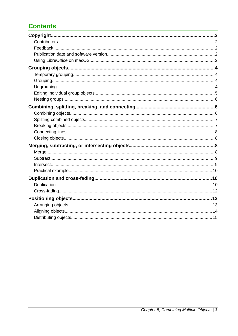## **Contents**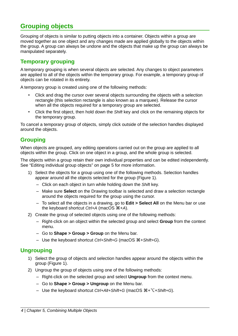## <span id="page-3-3"></span>**Grouping objects**

Grouping of objects is similar to putting objects into a container. Objects within a group are moved together as one object and any changes made are applied globally to the objects within the group. A group can always be undone and the objects that make up the group can always be manipulated separately.

#### <span id="page-3-2"></span>**Temporary grouping**

A temporary grouping is when several objects are selected. Any changes to object parameters are applied to all of the objects within the temporary group. For example, a temporary group of objects can be rotated in its entirety.

A temporary group is created using one of the following methods:

- Click and drag the cursor over several objects surrounding the objects with a selection rectangle (this selection rectangle is also known as a marquee). Release the cursor when all the objects required for a temporary group are selected.
- Click the first object, then hold down the *Shift* key and click on the remaining objects for the temporary group.

To cancel a temporary group of objects, simply click outside of the selection handles displayed around the objects.

#### <span id="page-3-1"></span>**Grouping**

When objects are grouped, any editing operations carried out on the group are applied to all objects within the group. Click on one object in a group, and the whole group is selected.

The objects within a group retain their own individual properties and can be edited independently. See ["Editing individual group objects](#page-4-0)" on page [5](#page-4-0) for more information.

- 1) Select the objects for a group using one of the following methods. Selection handles appear around all the objects selected for the group (Figure [1](#page-4-1)).
	- Click on each object in turn while holding down the *Shift* key.
	- Make sure **Select** on the Drawing toolbar is selected and draw a selection rectangle around the objects required for the group using the cursor.
	- To select all the objects in a drawing, go to **Edit > Select All** on the Menu bar or use the keyboard shortcut *Ctrl*+A (macOS  $\mathcal{H}$ +A).
- 2) Create the group of selected objects using one of the following methods:
	- Right-click on an object within the selected group and select **Group** from the context menu.
	- Go to **Shape > Group > Group** on the Menu bar.
	- Use the keyboard shortcut *Ctrl+Shift+G* (macOS  $\mathcal{H}$ +Shift+G).

#### <span id="page-3-0"></span>**Ungrouping**

- 1) Select the group of objects and selection handles appear around the objects within the group (Figure [1](#page-4-1)).
- 2) Ungroup the group of objects using one of the following methods:
	- Right-click on the selected group and select **Ungroup** from the context menu.
	- Go to **Shape > Group > Ungroup** on the Menu bar.
	- Use the keyboard shortcut *Ctrl+Alt+Shift+G* (macOS  $\mathcal{H}$ + <del></del> <del>\ + Shift+G</del>).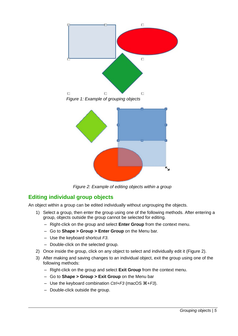<span id="page-4-1"></span>

<span id="page-4-2"></span>*Figure 2: Example of editing objects within a group*

## <span id="page-4-0"></span>**Editing individual group objects**

An object within a group can be edited individually without ungrouping the objects.

- 1) Select a group, then enter the group using one of the following methods. After entering a group, objects outside the group cannot be selected for editing.
	- Right-click on the group and select **Enter Group** from the context menu.
	- Go to **Shape > Group > Enter Group** on the Menu bar.
	- Use the keyboard shortcut *F3*.
	- Double-click on the selected group.
- 2) Once inside the group, click on any object to select and individually edit it (Figure [2](#page-4-2)).
- 3) After making and saving changes to an individual object, exit the group using one of the following methods:
	- Right-click on the group and select **Exit Group** from the context menu.
	- Go to **Shape > Group > Exit Group** on the Menu bar
	- Use the keyboard combination *Ctrl+F3* (macOS  $#$ +F3).
	- Double-click outside the group.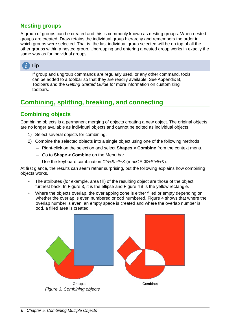#### <span id="page-5-2"></span>**Nesting groups**

A group of groups can be created and this is commonly known as nesting groups. When nested groups are created, Draw retains the individual group hierarchy and remembers the order in which groups were selected. That is, the last individual group selected will be on top of all the other groups within a nested group. Ungrouping and entering a nested group works in exactly the same way as for individual groups.



If group and ungroup commands are regularly used, or any other command, tools can be added to a toolbar so that they are readily available. See Appendix B, Toolbars and the *Getting Started Guide* for more information on customizing toolbars.

## <span id="page-5-1"></span>**Combining, splitting, breaking, and connecting**

#### <span id="page-5-0"></span>**Combining objects**

Combining objects is a permanent merging of objects creating a new object. The original objects are no longer available as individual objects and cannot be edited as individual objects.

- 1) Select several objects for combining.
- 2) Combine the selected objects into a single object using one of the following methods:
	- Right-click on the selection and select **Shapes > Combine** from the context menu.
	- Go to **Shape > Combine** on the Menu bar.
	- Use the keyboard combination *Ctrl+Shift+K* (macOS  $\#$ +Shift+*K*).

At first glance, the results can seem rather surprising, but the following explains how combining objects works.

- The attributes (for example, area fill) of the resulting object are those of the object furthest back. In Figure [3](#page-5-3), it is the ellipse and Figure [4](#page-6-2) it is the yellow rectangle.
- Where the objects overlap, the overlapping zone is either filled or empty depending on whether the overlap is even numbered or odd numbered. Figure [4](#page-6-2) shows that where the overlap number is even, an empty space is created and where the overlap number is odd, a filled area is created.

<span id="page-5-3"></span>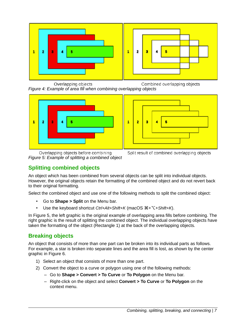

<span id="page-6-2"></span>Overlapping objects Combined overlapping objects *Figure 4: Example of area fill when combining overlapping objects*





<span id="page-6-3"></span>Overlapping objects before combining *Figure 5: Example of splitting a combined object*



### <span id="page-6-1"></span>**Splitting combined objects**

An object which has been combined from several objects can be split into individual objects. However, the original objects retain the formatting of the combined object and do not revert back to their original formatting.

Select the combined object and use one of the following methods to split the combined object:

- Go to **Shape > Split** on the Menu bar.
- Use the keyboard shortcut *Ctrl+Alt+Shift+K* (macOS  $\mathcal{H} + \nabla + \text{Shift} + K$ ).

In Figure [5](#page-6-3), the left graphic is the original example of overlapping area fills before combining. The right graphic is the result of splitting the combined object. The individual overlapping objects have taken the formatting of the object (Rectangle 1) at the back of the overlapping objects.

#### <span id="page-6-0"></span>**Breaking objects**

An object that consists of more than one part can be broken into its individual parts as follows. For example, a star is broken into separate lines and the area fill is lost, as shown by the center graphic in Figure [6](#page-7-4).

- 1) Select an object that consists of more than one part.
- 2) Convert the object to a curve or polygon using one of the following methods:
	- Go to **Shape > Convert > To Curve** or **To Polygon** on the Menu bar.
	- Right-click on the object and select **Convert > To Curve** or **To Polygon** on the context menu.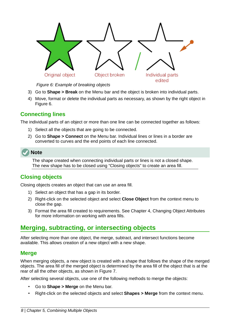

<span id="page-7-4"></span>*Figure 6: Example of breaking objects*

- 3) Go to **Shape > Break** on the Menu bar and the object is broken into individual parts.
- 4) Move, format or delete the individual parts as necessary, as shown by the right object in Figure [6](#page-7-4).

#### <span id="page-7-3"></span>**Connecting lines**

The individual parts of an object or more than one line can be connected together as follows:

- 1) Select all the objects that are going to be connected.
- 2) Go to **Shape > Connect** on the Menu bar. Individual lines or lines in a border are converted to curves and the end points of each line connected.

The shape created when connecting individual parts or lines is not a closed shape. The new shape has to be closed using ["Closing objects](#page-7-2)" to create an area fill.

#### <span id="page-7-2"></span>**Closing objects**

Closing objects creates an object that can use an area fill.

- 1) Select an object that has a gap in its border.
- 2) Right-click on the selected object and select **Close Object** from the context menu to close the gap.
- 3) Format the area fill created to requirements. See Chapter 4, Changing Object Attributes for more information on working with area fills.

## <span id="page-7-1"></span>**Merging, subtracting, or intersecting objects**

After selecting more than one object, the merge, subtract, and intersect functions become available. This allows creation of a new object with a new shape.

#### <span id="page-7-0"></span>**Merge**

When merging objects, a new object is created with a shape that follows the shape of the merged objects. The area fill of the merged object is determined by the area fill of the object that is at the rear of all the other objects, as shown in Figure [7](#page-8-2).

After selecting several objects, use one of the following methods to merge the objects:

- Go to **Shape > Merge** on the Menu bar.
- Right-click on the selected objects and select **Shapes > Merge** from the context menu.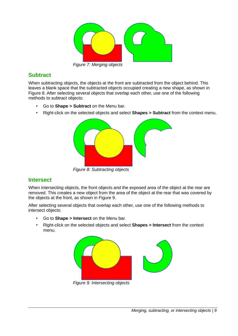<span id="page-8-2"></span>

*Figure 7: Merging objects*

#### <span id="page-8-1"></span>**Subtract**

When subtracting objects, the objects at the front are subtracted from the object behind. This leaves a blank space that the subtracted objects occupied creating a new shape, as shown in Figure [8](#page-8-4). After selecting several objects that overlap each other, use one of the following methods to subtract objects:

- Go to **Shape > Subtract** on the Menu bar.
- Right-click on the selected objects and select **Shapes > Subtract** from the context menu.

<span id="page-8-4"></span>

#### <span id="page-8-0"></span>**Intersect**

When intersecting objects, the front objects and the exposed area of the object at the rear are removed. This creates a new object from the area of the object at the rear that was covered by the objects at the front, as shown in Figure [9](#page-8-3).

After selecting several objects that overlap each other, use one of the following methods to intersect objects:

- Go to **Shape > Intersect** on the Menu bar.
- Right-click on the selected objects and select **Shapes > Intersect** from the context menu.

<span id="page-8-3"></span>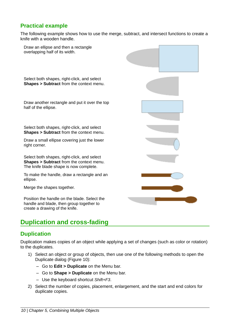#### <span id="page-9-2"></span>**Practical example**

The following example shows how to use the merge, subtract, and intersect functions to create a knife with a wooden handle.



## <span id="page-9-1"></span>**Duplication and cross-fading**

#### <span id="page-9-0"></span>**Duplication**

Duplication makes copies of an object while applying a set of changes (such as color or rotation) to the duplicates.

- 1) Select an object or group of objects, then use one of the following methods to open the Duplicate dialog (Figure [10](#page-10-0)):
	- Go to **Edit > Duplicate** on the Menu bar.
	- Go to **Shape > Duplicate** on the Menu bar.
	- Use the keyboard shortcut *Shift+F3*.
- 2) Select the number of copies, placement, enlargement, and the start and end colors for duplicate copies.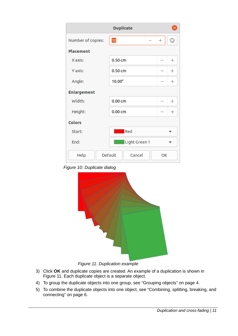| <b>Duplicate</b><br>× |                     |             |  |  |
|-----------------------|---------------------|-------------|--|--|
| Number of copies:     | 10                  | ☺<br>$^{+}$ |  |  |
| <b>Placement</b>      |                     |             |  |  |
| X axis:               | 0.50cm              | $^{+}$      |  |  |
| Y axis:               | 0.50cm              | $^{+}$      |  |  |
| Angle:                | $10.00^\circ$       | $^{+}$      |  |  |
| <b>Enlargement</b>    |                     |             |  |  |
| Width:                | 0.00cm              | $^{+}$      |  |  |
| Height:               | 0.00cm              | $^{+}$      |  |  |
| <b>Colors</b>         |                     |             |  |  |
| Start:                | <b>Executed</b> Red |             |  |  |
| End:                  | Light Green 1       |             |  |  |
| Help                  | Default<br>Cancel   | OK          |  |  |

*Figure 10: Duplicate dialog*

<span id="page-10-0"></span>

#### <span id="page-10-1"></span>*Figure 11: Duplication example*

- 3) Click **OK** and duplicate copies are created. An example of a duplication is shown in Figure [11](#page-10-1). Each duplicate object is a separate object.
- 4) To group the duplicate objects into one group, see "[Grouping objects](#page-3-3)" on page [4.](#page-3-3)
- 5) To combine the duplicate objects into one object, see ["Combining, splitting, breaking, and](#page-5-1) [connecting](#page-5-1)" on page [6.](#page-5-1)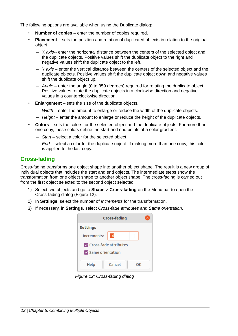The following options are available when using the Duplicate dialog:

- **Number of copies** enter the number of copies required.
- **Placement** sets the position and rotation of duplicated objects in relation to the original object.
	- *X axis*-- enter the horizontal distance between the centers of the selected object and the duplicate objects. Positive values shift the duplicate object to the right and negative values shift the duplicate object to the left.
	- *Y axis* enter the vertical distance between the centers of the selected object and the duplicate objects. Positive values shift the duplicate object down and negative values shift the duplicate object up.
	- *Angle* enter the angle (0 to 359 degrees) required for rotating the duplicate object. Positive values rotate the duplicate objects in a clockwise direction and negative values in a counterclockwise direction.
- **Enlargement** sets the size of the duplicate objects.
	- *Width* enter the amount to enlarge or reduce the width of the duplicate objects.
	- *Height* enter the amount to enlarge or reduce the height of the duplicate objects.
- **Colors** sets the colors for the selected object and the duplicate objects. For more than one copy, these colors define the start and end points of a color gradient.
	- *Start* select a color for the selected object.
	- *End* select a color for the duplicate object. If making more than one copy, this color is applied to the last copy.

#### <span id="page-11-0"></span>**Cross-fading**

Cross-fading transforms one object shape into another object shape. The result is a new group of individual objects that includes the start and end objects. The intermediate steps show the transformation from one object shape to another object shape. The cross-fading is carried out from the first object selected to the second object selected.

- 1) Select two objects and go to **Shape > Cross-fading** on the Menu bar to open the Cross-fading dialog (Figure [12](#page-11-1)).
- 2) In **Settings**, select the number of *Increments* for the transformation.
- 3) If necessary, in **Settings**, select *Cross-fade attributes* and *Same orientation*.

| <b>Cross-fading</b>              |        |  |    |  |
|----------------------------------|--------|--|----|--|
| <b>Settings</b>                  |        |  |    |  |
| Increments:                      | 16     |  |    |  |
| Cross-fade attributes            |        |  |    |  |
| $\triangledown$ Same orientation |        |  |    |  |
| Help                             | Cancel |  | OΚ |  |

<span id="page-11-1"></span>*Figure 12: Cross-fading dialog*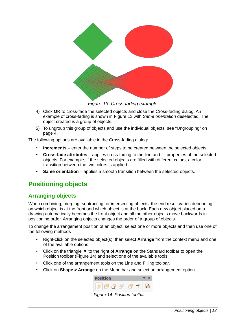

<span id="page-12-3"></span>*Figure 13: Cross-fading example*

- 4) Click **OK** to cross-fade the selected objects and close the Cross-fading dialog. An example of cross-fading is shown in Figure [13](#page-12-3) with *Same orientation* deselected. The object created is a group of objects.
- 5) To ungroup this group of objects and use the individual objects, see ["Ungrouping](#page-3-0)" on page [4](#page-3-0).

The following options are available in the Cross-fading dialog:

- **Increments** enter the number of steps to be created between the selected objects.
- **Cross-fade attributes** applies cross-fading to the line and fill properties of the selected objects. For example, if the selected objects are filled with different colors, a color transition between the two colors is applied.
- **Same orientation** applies a smooth transition between the selected objects.

## <span id="page-12-1"></span>**Positioning objects**

#### <span id="page-12-0"></span>**Arranging objects**

When combining, merging, subtracting, or intersecting objects, the end result varies depending on which object is at the front and which object is at the back. Each new object placed on a drawing automatically becomes the front object and all the other objects move backwards in positioning order. Arranging objects changes the order of a group of objects.

To change the arrangement position of an object, select one or more objects and then use one of the following methods

- Right-click on the selected object(s), then select **Arrange** from the context menu and one of the available options.
- Click on the triangle ▼ to the right of **Arrange** on the Standard toolbar to open the Position toolbar (Figure [14](#page-12-2)) and select one of the available tools.
- Click one of the arrangement tools on the Line and Filling toolbar.
- Click on **Shape > Arrange** on the Menu bar and select an arrangement option.

<span id="page-12-2"></span>

*Figure 14: Position toolbar*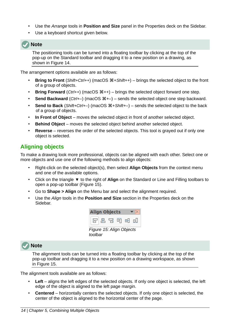- Use the *Arrange* tools in **Position and Size** panel in the Properties deck on the Sidebar.
- Use a keyboard shortcut given below.

#### **Note**

The positioning tools can be turned into a floating toolbar by clicking at the top of the pop-up on the Standard toolbar and dragging it to a new position on a drawing, as shown in Figure [14.](#page-12-2)

The arrangement options available are as follows:

- **Bring to Front** (*Shift+Ctrl++*) (macOS  $\mathcal{H}$ +Shift++) brings the selected object to the front of a group of objects.
- **Bring Forward** ( $Ctrl++$ ) (macOS  $\mathbb{H}++$ ) brings the selected object forward one step.
- **Send Backward** (*Ctrl+*-) (macOS  $#+$ -) sends the selected object one step backward.
- **Send to Back** (Shift+Ctrl+-) (macOS  $\mathcal{H}$ +Shift+-) sends the selected object to the back of a group of objects.
- **In Front of Object** moves the selected object in front of another selected object.
- **Behind Object** moves the selected object behind another selected object.
- **Reverse** reverses the order of the selected objects. This tool is grayed out if only one object is selected.

#### <span id="page-13-0"></span>**Aligning objects**

To make a drawing look more professional, objects can be aligned with each other. Select one or more objects and use one of the following methods to align objects:

- Right-click on the selected object(s), then select **Align Objects** from the context menu and one of the available options.
- Click on the triangle ▼ to the right of **Align** on the Standard or Line and Filling toolbars to open a pop-up toolbar (Figure [15](#page-13-1)).
- Go to **Shape > Align** on the Menu bar and select the alignment required.
- Use the *Align* tools in the **Position and Size** section in the Properties deck on the Sidebar.

<span id="page-13-1"></span>

#### **Note**

The alignment tools can be turned into a floating toolbar by clicking at the top of the pop-up toolbar and dragging it to a new position on a drawing workspace, as shown in Figure [15](#page-13-1).

The alignment tools available are as follows:

- Left aligns the left edges of the selected objects. If only one object is selected, the left edge of the object is aligned to the left page margin.
- **Centered** horizontally centers the selected objects. If only one object is selected, the center of the object is aligned to the horizontal center of the page.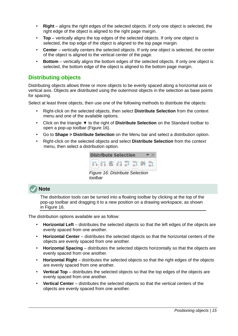- **Right** aligns the right edges of the selected objects. If only one object is selected, the right edge of the object is aligned to the right page margin.
- **Top** vertically aligns the top edges of the selected objects. If only one object is selected, the top edge of the object is aligned to the top page margin.
- **Center** vertically centers the selected objects. If only one object is selected, the center of the object is aligned to the vertical center of the page.
- **Bottom** vertically aligns the bottom edges of the selected objects. If only one object is selected, the bottom edge of the object is aligned to the bottom page margin.

#### <span id="page-14-0"></span>**Distributing objects**

Distributing objects allows three or more objects to be evenly spaced along a horizontal axis or vertical axis. Objects are distributed using the outermost objects in the selection as base points for spacing.

Select at least three objects, then use one of the following methods to distribute the objects:

- Right-click on the selected objects, then select **Distribute Selection** from the context menu and one of the available options.
- Click on the triangle ▼ to the right of **Distribute Selection** on the Standard toolbar to open a pop-up toolbar (Figure [16](#page-14-1)).
- Go to **Shape > Distribute Selection** on the Menu bar and select a distribution option.
- Right-click on the selected objects and select **Distribute Selection** from the context menu, then select a distribution option.

<span id="page-14-1"></span>

| <b>Distribute Selection</b>                |  |  |  |  |  |
|--------------------------------------------|--|--|--|--|--|
| 해하 # 11 포 31 # 51                          |  |  |  |  |  |
| Figure 16: Distribute Selection<br>toolbar |  |  |  |  |  |

#### **Note**

The distribution tools can be turned into a floating toolbar by clicking at the top of the pop-up toolbar and dragging it to a new position on a drawing workspace, as shown in Figure [16.](#page-14-1)

The distribution options available are as follow:

- **Horizontal Left** distributes the selected objects so that the left edges of the objects are evenly spaced from one another.
- **Horizontal Center** distributes the selected objects so that the horizontal centers of the objects are evenly spaced from one another.
- **Horizontal Spacing** distributes the selected objects horizontally so that the objects are evenly spaced from one another.
- **Horizontal Right** distributes the selected objects so that the right edges of the objects are evenly spaced from one another.
- **Vertical Top** distributes the selected objects so that the top edges of the objects are evenly spaced from one another.
- **Vertical Center** distributes the selected objects so that the vertical centers of the objects are evenly spaced from one another.